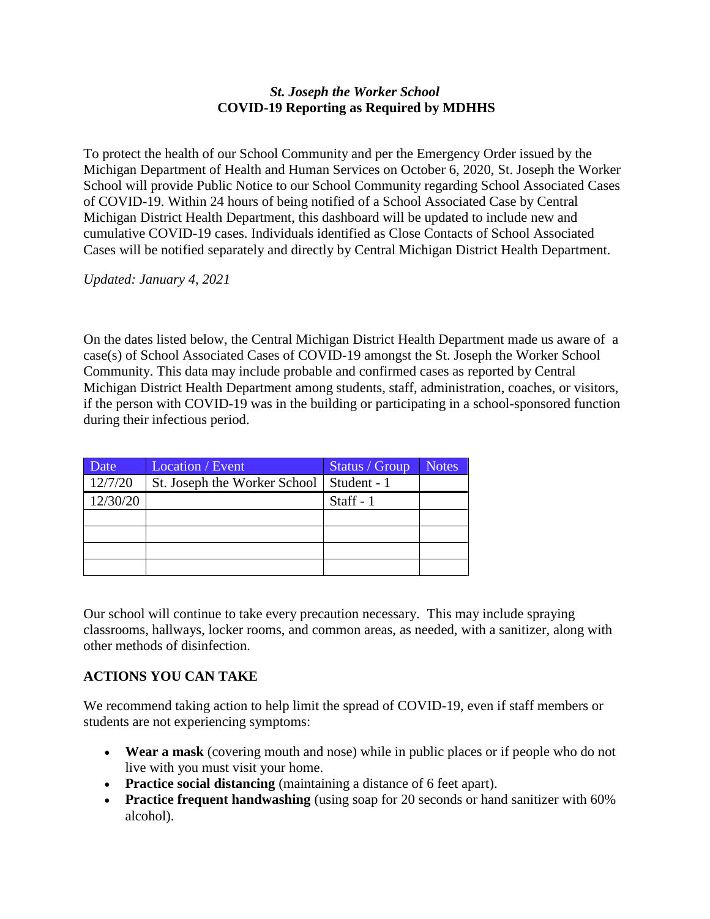## *St. Joseph the Worker School* **COVID-19 Reporting as Required by MDHHS**

To protect the health of our School Community and per the Emergency Order issued by the Michigan Department of Health and Human Services on October 6, 2020, St. Joseph the Worker School will provide Public Notice to our School Community regarding School Associated Cases of COVID-19. Within 24 hours of being notified of a School Associated Case by Central Michigan District Health Department, this dashboard will be updated to include new and cumulative COVID-19 cases. Individuals identified as Close Contacts of School Associated Cases will be notified separately and directly by Central Michigan District Health Department.

*Updated: January 4, 2021*

On the dates listed below, the Central Michigan District Health Department made us aware of a case(s) of School Associated Cases of COVID-19 amongst the St. Joseph the Worker School Community. This data may include probable and confirmed cases as reported by Central Michigan District Health Department among students, staff, administration, coaches, or visitors, if the person with COVID-19 was in the building or participating in a school-sponsored function during their infectious period.

| Date     | Location / Event             | Status / Group | <b>Notes</b> |
|----------|------------------------------|----------------|--------------|
| 12/7/20  | St. Joseph the Worker School | Student - 1    |              |
| 12/30/20 |                              | Staff - 1      |              |
|          |                              |                |              |
|          |                              |                |              |
|          |                              |                |              |
|          |                              |                |              |

Our school will continue to take every precaution necessary. This may include spraying classrooms, hallways, locker rooms, and common areas, as needed, with a sanitizer, along with other methods of disinfection.

## **ACTIONS YOU CAN TAKE**

We recommend taking action to help limit the spread of COVID-19, even if staff members or students are not experiencing symptoms:

- **Wear a mask** (covering mouth and nose) while in public places or if people who do not live with you must visit your home.
- **Practice social distancing** (maintaining a distance of 6 feet apart).
- **Practice frequent handwashing** (using soap for 20 seconds or hand sanitizer with 60% alcohol).